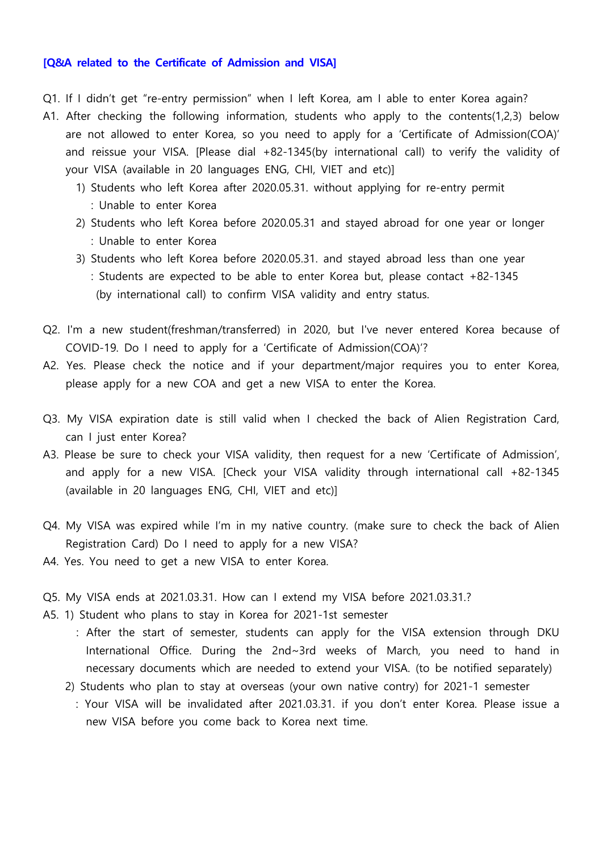## **[Q&A related to the Certificate of Admission and VISA]**

- Q1. If I didn't get "re-entry permission" when I left Korea, am I able to enter Korea again?
- A1. After checking the following information, students who apply to the contents(1,2,3) below are not allowed to enter Korea, so you need to apply for a 'Certificate of Admission(COA)' and reissue your VISA. [Please dial +82-1345(by international call) to verify the validity of your VISA (available in 20 languages ENG, CHI, VIET and etc)]
	- 1) Students who left Korea after 2020.05.31. without applying for re-entry permit : Unable to enter Korea
	- 2) Students who left Korea before 2020.05.31 and stayed abroad for one year or longer : Unable to enter Korea
	- 3) Students who left Korea before 2020.05.31. and stayed abroad less than one year : Students are expected to be able to enter Korea but, please contact +82-1345 (by international call) to confirm VISA validity and entry status.
- Q2. I'm a new student(freshman/transferred) in 2020, but I've never entered Korea because of COVID-19. Do I need to apply for a 'Certificate of Admission(COA)'?
- A2. Yes. Please check the notice and if your department/major requires you to enter Korea, please apply for a new COA and get a new VISA to enter the Korea.
- Q3. My VISA expiration date is still valid when I checked the back of Alien Registration Card, can I just enter Korea?
- A3. Please be sure to check your VISA validity, then request for a new 'Certificate of Admission', and apply for a new VISA. [Check your VISA validity through international call +82-1345 (available in 20 languages ENG, CHI, VIET and etc)]
- Q4. My VISA was expired while I'm in my native country. (make sure to check the back of Alien Registration Card) Do I need to apply for a new VISA?
- A4. Yes. You need to get a new VISA to enter Korea.
- Q5. My VISA ends at 2021.03.31. How can I extend my VISA before 2021.03.31.?
- A5. 1) Student who plans to stay in Korea for 2021-1st semester
	- : After the start of semester, students can apply for the VISA extension through DKU International Office. During the 2nd~3rd weeks of March, you need to hand in necessary documents which are needed to extend your VISA. (to be notified separately) 2) Students who plan to stay at overseas (your own native contry) for 2021-1 semester
	- - : Your VISA will be invalidated after 2021.03.31. if you don't enter Korea. Please issue a new VISA before you come back to Korea next time.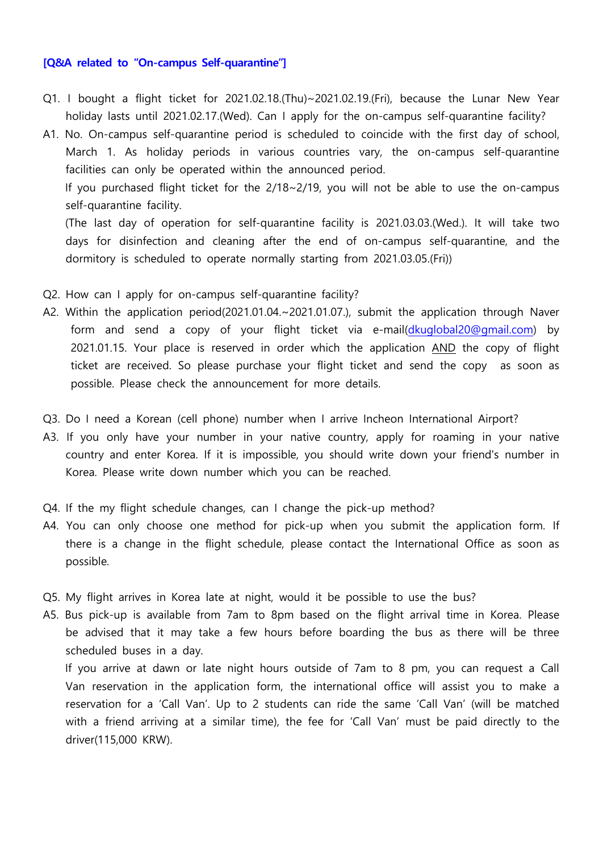## **[Q&A related to "On-campus Self-quarantine"]**

- Q1. I bought a flight ticket for 2021.02.18.(Thu)~2021.02.19.(Fri), because the Lunar New Year holiday lasts until 2021.02.17.(Wed). Can I apply for the on-campus self-quarantine facility?
- A1. No. On-campus self-quarantine period is scheduled to coincide with the first day of school, March 1. As holiday periods in various countries vary, the on-campus self-quarantine facilities can only be operated within the announced period.<br>If you purchased flight ticket for the 2/18~2/19, you will not be able to use the on-campus

self-quarantine facility.<br>(The last day of operation for self-quarantine facility is 2021.03.03.(Wed.). It will take two

days for disinfection and cleaning after the end of on-campus self-quarantine, and the dormitory is scheduled to operate normally starting from 2021.03.05.(Fri))

- Q2. How can I apply for on-campus self-quarantine facility?
- A2. Within the application period(2021.01.04.~2021.01.07.), submit the application through Naver form and send a copy of your flight ticket via e-mail([dkuglobal20@gmail.com\)](mailto:dkuglobal20@gmail.com) by 2021.01.15. Your place is reserved in order which the application AND the copy of flight ticket are received. So please purchase your flight ticket and send the copy as soon as possible. Please check the announcement for more details.
- Q3. Do I need a Korean (cell phone) number when I arrive Incheon International Airport?
- A3. If you only have your number in your native country, apply for roaming in your native country and enter Korea. If it is impossible, you should write down your friend's number in Korea. Please write down number which you can be reached.
- Q4. If the my flight schedule changes, can I change the pick-up method?
- A4. You can only choose one method for pick-up when you submit the application form. If there is a change in the flight schedule, please contact the International Office as soon as possible.
- Q5. My flight arrives in Korea late at night, would it be possible to use the bus?
- A5. Bus pick-up is available from 7am to 8pm based on the flight arrival time in Korea. Please be advised that it may take a few hours before boarding the bus as there will be three scheduled buses in a day.<br>If you arrive at dawn or late night hours outside of 7am to 8 pm, you can request a Call

Van reservation in the application form, the international office will assist you to make a reservation for a 'Call Van'. Up to 2 students can ride the same 'Call Van' (will be matched with a friend arriving at a similar time), the fee for 'Call Van' must be paid directly to the driver(115,000 KRW).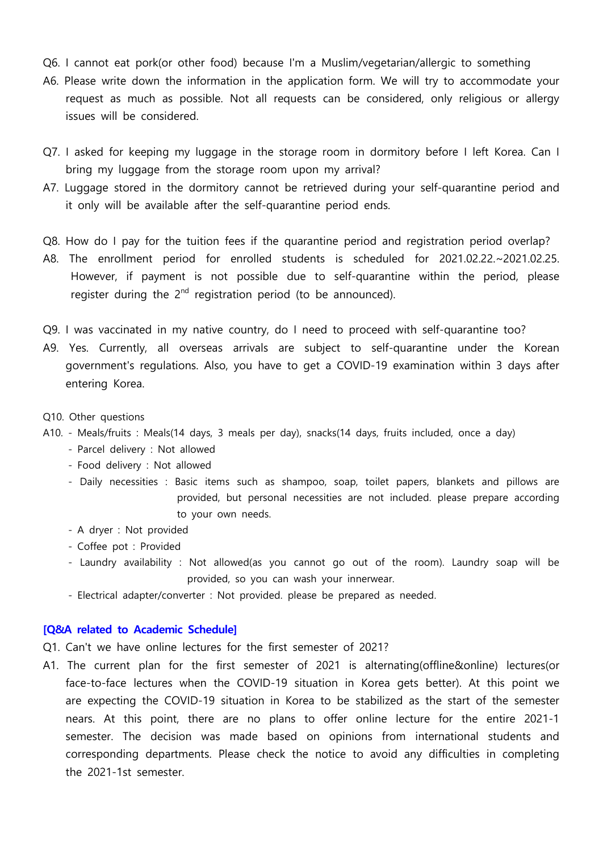- Q6. I cannot eat pork(or other food) because I'm a Muslim/vegetarian/allergic to something
- A6. Please write down the information in the application form. We will try to accommodate your request as much as possible. Not all requests can be considered, only religious or allergy issues will be considered.
- Q7. I asked for keeping my luggage in the storage room in dormitory before I left Korea. Can I bring my luggage from the storage room upon my arrival?
- A7. Luggage stored in the dormitory cannot be retrieved during your self-quarantine period and it only will be available after the self-quarantine period ends.
- Q8. How do I pay for the tuition fees if the quarantine period and registration period overlap?
- A8. The enrollment period for enrolled students is scheduled for 2021.02.22.~2021.02.25. However, if payment is not possible due to self-quarantine within the period, please register during the 2<sup>nd</sup> registration period (to be announced).
- Q9. I was vaccinated in my native country, do I need to proceed with self-quarantine too?
- A9. Yes. Currently, all overseas arrivals are subject to self-quarantine under the Korean government's regulations. Also, you have to get a COVID-19 examination within 3 days after entering Korea.
- Q10. Other questions
- A10. Meals/fruits : Meals(14 days, 3 meals per day), snacks(14 days, fruits included, once a day) Parcel delivery : Not allowed
	-
	- Food delivery : Not allowed
	- Daily necessities : Basic items such as shampoo, soap, toilet papers, blankets and pillows are provided, but personal necessities are not included. please prepare according to your own needs.<br>- A dryer : Not provided
	-
	- Coffee pot : Provided
	- Laundry availability : Not allowed(as you cannot go out of the room). Laundry soap will be provided, so you can wash your innerwear.<br>- Electrical adapter/converter : Not provided. please be prepared as needed.
	-

## **[Q&A related to Academic Schedule]**

- Q1. Can't we have online lectures for the first semester of 2021?
- A1. The current plan for the first semester of 2021 is alternating(offline&online) lectures(or face-to-face lectures when the COVID-19 situation in Korea gets better). At this point we are expecting the COVID-19 situation in Korea to be stabilized as the start of the semester nears. At this point, there are no plans to offer online lecture for the entire 2021-1 semester. The decision was made based on opinions from international students and corresponding departments. Please check the notice to avoid any difficulties in completing the 2021-1st semester.